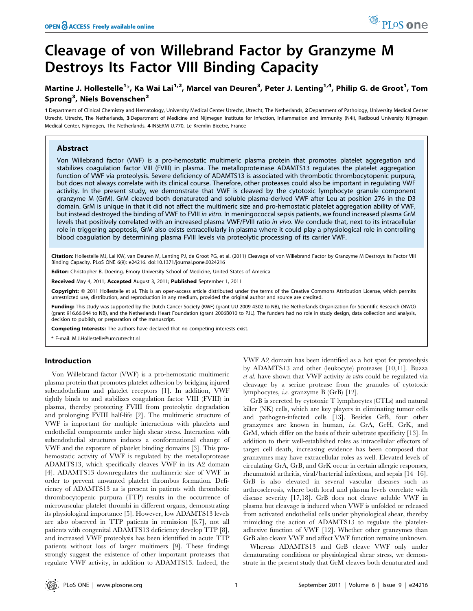# Cleavage of von Willebrand Factor by Granzyme M Destroys Its Factor VIII Binding Capacity

## Martine J. Hollestelle<sup>1</sup>\*, Ka Wai Lai<sup>1,2</sup>, Marcel van Deuren<sup>3</sup>, Peter J. Lenting<sup>1,4</sup>, Philip G. de Groot<sup>1</sup>, Tom Sprong<sup>3</sup>, Niels Bovenschen<sup>2</sup>

1 Department of Clinical Chemistry and Hematology, University Medical Center Utrecht, Utrecht, The Netherlands, 2 Department of Pathology, University Medical Center Utrecht, Utrecht, The Netherlands, 3Department of Medicine and Nijmegen Institute for Infection, Inflammation and Immunity (N4i), Radboud University Nijmegen Medical Center, Nijmegen, The Netherlands, 4 INSERM U.770, Le Kremlin Bicetre, France

## Abstract

Von Willebrand factor (VWF) is a pro-hemostatic multimeric plasma protein that promotes platelet aggregation and stabilizes coagulation factor VIII (FVIII) in plasma. The metalloproteinase ADAMTS13 regulates the platelet aggregation function of VWF via proteolysis. Severe deficiency of ADAMTS13 is associated with thrombotic thrombocytopenic purpura, but does not always correlate with its clinical course. Therefore, other proteases could also be important in regulating VWF activity. In the present study, we demonstrate that VWF is cleaved by the cytotoxic lymphocyte granule component granzyme M (GrM). GrM cleaved both denaturated and soluble plasma-derived VWF after Leu at position 276 in the D3 domain. GrM is unique in that it did not affect the multimeric size and pro-hemostatic platelet aggregation ability of VWF, but instead destroyed the binding of VWF to FVIII in vitro. In meningococcal sepsis patients, we found increased plasma GrM levels that positively correlated with an increased plasma VWF/FVIII ratio in vivo. We conclude that, next to its intracellular role in triggering apoptosis, GrM also exists extracellularly in plasma where it could play a physiological role in controlling blood coagulation by determining plasma FVIII levels via proteolytic processing of its carrier VWF.

Citation: Hollestelle MJ, Lai KW, van Deuren M, Lenting PJ, de Groot PG, et al. (2011) Cleavage of von Willebrand Factor by Granzyme M Destroys Its Factor VIII Binding Capacity. PLoS ONE 6(9): e24216. doi:10.1371/journal.pone.0024216

Editor: Christopher B. Doering, Emory University School of Medicine, United States of America

Received May 4, 2011; Accepted August 3, 2011; Published September 1, 2011

Copyright: © 2011 Hollestelle et al. This is an open-access article distributed under the terms of the Creative Commons Attribution License, which permits unrestricted use, distribution, and reproduction in any medium, provided the original author and source are credited.

Funding: This study was supported by the Dutch Cancer Society (KWF) (grant UU-2009-4302 to NB), the Netherlands Organization for Scientific Research (NWO) (grant 916.66.044 to NB), and the Netherlands Heart Foundation (grant 2006B010 to PJL). The funders had no role in study design, data collection and analysis, decision to publish, or preparation of the manuscript.

Competing Interests: The authors have declared that no competing interests exist.

\* E-mail: M.J.Hollestelle@umcutrecht.nl

## Introduction

Von Willebrand factor (VWF) is a pro-hemostatic multimeric plasma protein that promotes platelet adhesion by bridging injured subendothelium and platelet receptors [1]. In addition, VWF tightly binds to and stabilizes coagulation factor VIII (FVIII) in plasma, thereby protecting FVIII from proteolytic degradation and prolonging FVIII half-life [2]. The multimeric structure of VWF is important for multiple interactions with platelets and endothelial components under high shear stress. Interaction with subendothelial structures induces a conformational change of VWF and the exposure of platelet binding domains [3]. This prohemostatic activity of VWF is regulated by the metalloprotease ADAMTS13, which specifically cleaves VWF in its A2 domain [4]. ADAMTS13 downregulates the multimeric size of VWF in order to prevent unwanted platelet thrombus formation. Deficiency of ADAMTS13 as is present in patients with thrombotic thrombocytopenic purpura (TTP) results in the occurrence of microvascular platelet thrombi in different organs, demonstrating its physiological importance [5]. However, low ADAMTS13 levels are also observed in TTP patients in remission [6,7], not all patients with congenital ADAMTS13 deficiency develop TTP [8], and increased VWF proteolysis has been identified in acute TTP patients without loss of larger multimers [9]. These findings strongly suggest the existence of other important proteases that regulate VWF activity, in addition to ADAMTS13. Indeed, the

VWF A2 domain has been identified as a hot spot for proteolysis by ADAMTS13 and other (leukocyte) proteases [10,11]. Buzza et al. have shown that VWF activity in vitro could be regulated via cleavage by a serine protease from the granules of cytotoxic lymphocytes, i.e. granzyme B (GrB) [12].

PLoS one

GrB is secreted by cytotoxic T lymphocytes (CTLs) and natural killer (NK) cells, which are key players in eliminating tumor cells and pathogen-infected cells [13]. Besides GrB, four other granzymes are known in human, i.e. GrA, GrH, GrK, and GrM, which differ on the basis of their substrate specificity [13]. In addition to their well-established roles as intracellular effectors of target cell death, increasing evidence has been composed that granzymes may have extracellular roles as well. Elevated levels of circulating GrA, GrB, and GrK occur in certain allergic responses, rheumatoid arthritis, viral/bacterial infections, and sepsis [14–16]. GrB is also elevated in several vascular diseases such as arthrosclerosis, where both local and plasma levels correlate with disease severity [17,18]. GrB does not cleave soluble VWF in plasma but cleavage is induced when VWF is unfolded or released from activated endothelial cells under physiological shear, thereby mimicking the action of ADAMTS13 to regulate the plateletadhesive function of VWF [12]. Whether other granzymes than GrB also cleave VWF and affect VWF function remains unknown.

Whereas ADAMTS13 and GrB cleave VWF only under denaturating conditions or physiological shear stress, we demonstrate in the present study that GrM cleaves both denaturated and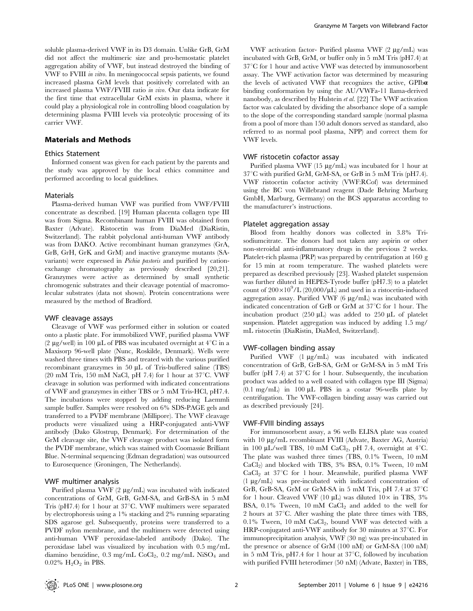soluble plasma-derived VWF in its D3 domain. Unlike GrB, GrM did not affect the multimeric size and pro-hemostatic platelet aggregation ability of VWF, but instead destroyed the binding of VWF to FVIII in vitro. In meningococcal sepsis patients, we found increased plasma GrM levels that positively correlated with an increased plasma VWF/FVIII ratio in vivo. Our data indicate for the first time that extracellular GrM exists in plasma, where it could play a physiological role in controlling blood coagulation by determining plasma FVIII levels via proteolytic processing of its carrier VWF.

## Materials and Methods

## Ethics Statement

Informed consent was given for each patient by the parents and the study was approved by the local ethics committee and performed according to local guidelines.

#### Materials

Plasma-derived human VWF was purified from VWF/FVIII concentrate as described. [19] Human placenta collagen type III was from Sigma. Recombinant human FVIII was obtained from Baxter (Advate). Ristocetin was from DiaMed (DiaRistin, Switzerland). The rabbit polyclonal anti-human VWF antibody was from DAKO. Active recombinant human granzymes (GrA, GrB, GrH, GrK and GrM) and inactive granzyme mutants (SAvariants) were expressed in Pichia pastoris and purified by cationexchange chromatography as previously described [20,21]. Granzymes were active as determined by small synthetic chromogenic substrates and their cleavage potential of macromolecular substrates (data not shown). Protein concentrations were measured by the method of Bradford.

#### VWF cleavage assays

Cleavage of VWF was performed either in solution or coated onto a plastic plate. For immobilized VWF, purified plasma VWF (2  $\mu$ g/well) in 100  $\mu$ L of PBS was incubated overnight at 4<sup>°</sup>C in a Maxisorp 96-well plate (Nunc, Roskilde, Denmark). Wells were washed three times with PBS and treated with the various purified recombinant granzymes in 50  $\mu$ L of Tris-buffered saline (TBS) (20 mM Tris, 150 mM NaCl, pH 7.4) for 1 hour at  $37^{\circ}$ C. VWF cleavage in solution was performed with indicated concentrations of VWF and granzymes in either TBS or 5 mM Tris-HCl, pH7.4. The incubations were stopped by adding reducing Laemmli sample buffer. Samples were resolved on 6% SDS-PAGE gels and transferred to a PVDF membrane (Millipore). The VWF cleavage products were visualized using a HRP-conjugated anti-VWF antibody (Dako Glostrup, Denmark). For determination of the GrM cleavage site, the VWF cleavage product was isolated form the PVDF membrane, which was stained with Coomassie Brilliant Blue. N-terminal sequencing (Edman degradation) was outsourced to Eurosequence (Groningen, The Netherlands).

## VWF multimer analysis

Purified plasma VWF  $(2 \mu g/mL)$  was incubated with indicated concentrations of GrM, GrB, GrM-SA, and GrB-SA in 5 mM Tris (pH7.4) for 1 hour at  $37^{\circ}$ C. VWF multimers were separated by electrophoresis using a 1% stacking and 2% running separating SDS agarose gel. Subsequently, proteins were transferred to a PVDF nylon membrane, and the multimers were detected using anti-human VWF peroxidase-labeled antibody (Dako). The peroxidase label was visualized by incubation with 0.5 mg/mL diamino benzidine, 0.3 mg/mL  $CoCl<sub>2</sub>$ , 0.2 mg/mL  $NiSO<sub>4</sub>$  and 0.02%  $H_2O_2$  in PBS.

VWF activation factor- Purified plasma VWF  $(2 \mu g/mL)$  was incubated with GrB, GrM, or buffer only in 5 mM Tris (pH7.4) at  $37^{\circ}$ C for 1 hour and active VWF was detected by immunosorbent assay. The VWF activation factor was determined by measuring the levels of activated VWF that recognizes the active, GPIba binding conformation by using the AU/VWFa-11 llama-derived nanobody, as described by Hulstein et al. [22] The VWF activation factor was calculated by dividing the absorbance slope of a sample to the slope of the corresponding standard sample (normal plasma from a pool of more than 150 adult donors served as standard, also referred to as normal pool plasma, NPP) and correct them for VWF levels.

## VWF ristocetin cofactor assay

Purified plasma VWF (15  $\mu$ g/mL) was incubated for 1 hour at  $37^{\circ}$ C with purified GrM, GrM-SA, or GrB in 5 mM Tris (pH7.4). VWF ristocetin cofactor activity (VWF:RCof) was determined using the BC von Willebrand reagent (Dade Behring Marburg GmbH, Marburg, Germany) on the BCS apparatus according to the manufacturer's instructions.

### Platelet aggregation assay

Blood from healthy donors was collected in 3.8% Trisodiumcitrate. The donors had not taken any aspirin or other non-steroidal anti-inflammatory drugs in the previous 2 weeks. Platelet-rich plasma (PRP) was prepared by centrifugation at 160 g for 15 min at room temperature. The washed platelets were prepared as described previously [23]. Washed platelet suspension was further diluted in HEPES-Tyrode buffer (pH7.3) to a platelet count of  $200\times10^9$ /L (20,000/µL) and used in a ristocetin-induced aggregation assay. Purified VWF  $(6 \mu g/mL)$  was incubated with indicated concentration of GrB or GrM at  $37^{\circ}$ C for 1 hour. The incubation product (250  $\mu$ L) was added to 250  $\mu$ L of platelet suspension. Platelet aggregation was induced by adding 1.5 mg/ mL ristocetin (DiaRistin, DiaMed, Switzerland).

## VWF-collagen binding assay

Purified VWF (1 µg/mL) was incubated with indicated concentration of GrB, GrB-SA, GrM or GrM-SA in 5 mM Tris buffer (pH 7.4) at  $37^{\circ}$ C for 1 hour. Subsequently, the incubation product was added to a well coated with collagen type III (Sigma)  $(0.1 \text{ mg/mL})$  in 100 µL PBS in a costar 96-wells plate by centrifugation. The VWF-collagen binding assay was carried out as described previously [24].

#### VWF-FVIII binding assays

For immunosorbent assay, a 96 wells ELISA plate was coated with 10 µg/mL recombinant FVIII (Advate, Baxter AG, Austria) in 100  $\mu$ L/well TBS, 10 mM CaCl<sub>2</sub>, pH 7.4, overnight at 4<sup>°</sup>C. The plate was washed three times (TBS, 0.1% Tween, 10 mM  $CaCl<sub>2</sub>$ ) and blocked with TBS, 3% BSA, 0.1% Tween, 10 mM  $CaCl<sub>2</sub>$  at 37°C for 1 hour. Meanwhile, purified plasma VWF (1 mg/mL) was pre-incubated with indicated concentration of GrB, GrB-SA, GrM or GrM-SA in 5 mM Tris, pH 7.4 at 37°C for 1 hour. Cleaved VWF (10  $\mu$ L) was diluted 10 $\times$  in TBS, 3% BSA, 0.1% Tween, 10 mM CaCl<sub>2</sub> and added to the well for 2 hours at  $37^{\circ}$ C. After washing the plate three times with TBS,  $0.1\%$  Tween,  $10\text{ }\mathrm{mM}$  CaCl<sub>2</sub>, bound VWF was detected with a HRP-conjugated anti-VWF antibody for 30 minutes at  $37^{\circ}$ C. For immunoprecipitation analysis, VWF (30 ng) was pre-incubated in the presence or absence of GrM (100 nM) or GrM-SA (100 nM) in 5 mM Tris, pH7.4 for 1 hour at  $37^{\circ}$ C, followed by incubation with purified FVIII heterodimer (50 nM) (Advate, Baxter) in TBS,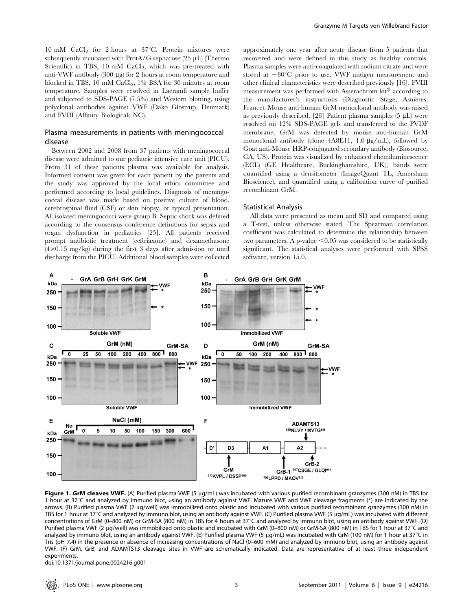10 mM  $CaCl<sub>2</sub>$  for 2 hours at 37 $°C$ . Protein mixtures were subsequently incubated with ProtA/G sepharose  $(25 \mu L)$  (Thermo Scientific) in TBS,  $10 \text{ mM }$  CaCl<sub>2</sub>, which was pre-treated with anti-VWF antibody (300 µg) for 2 hours at room temperature and blocked in TBS,  $10 \text{ mM }$ CaCl<sub>2</sub>,  $1\%$  BSA for 30 minutes at room temperature. Samples were resolved in Laemmli sample buffer and subjected to SDS-PAGE (7.5%) and Western blotting, using polyclonal antibodies against VWF (Dako Glostrup, Denmark) and FVIII (Affinity Biologicals NC).

## Plasma measurements in patients with meningococcal disease

Between 2002 and 2008 from 37 patients with meningococcal disease were admitted to our pediatric intensive care unit (PICU). From 31 of these patients plasma was available for analysis. Informed consent was given for each patient by the parents and the study was approved by the local ethics committee and performed according to local guidelines. Diagnosis of meningococcal disease was made based on positive culture of blood, cerebrospinal fluid (CSF) or skin biopsy, or typical presentation. All isolated meningococci were group B. Septic shock was defined according to the consensus conference definitions for sepsis and organ dysfunction in pediatrics [25]. All patients received prompt antibiotic treatment (ceftriaxone) and dexamethasone  $(4\times0.15 \text{ mg/kg})$  during the first 3 days after admission or until discharge from the PICU. Additional blood samples were collected approximately one year after acute disease from 5 patients that recovered and were defined in this study as healthy controls. Plasma samples were anti-coagulated with sodium citrate and were stored at  $-80^{\circ}$ C prior to use. VWF antigen measurement and other clinical characteristics were described previously [16]. FVIII measurement was performed with Asserachrom kit® according to the manufacturer's instructions (Diagnostic Stage, Asnieres, France). Mouse anti-human GrM monoclonal antibody was raised as previously described. [26] Patient plasma samples  $(5 \mu L)$  were resolved on 12% SDS-PAGE gels and transferred to the PVDF membrane. GrM was detected by mouse anti-human GrM monoclonal antibody (clone 4A8E11, 1.0 mg/mL), followed by Goat anti-Mouse HRP-conjugated secondary antibody (Biosource, CA, US). Protein was visualized by enhanced chemiluminescence (ECL) (GE Healthcare, Buckinghamshire, UK), bands were quantified using a densitometer (ImageQuant TL, Amersham Bioscience), and quantified using a calibration curve of purified recombinant GrM.

## Statistical Analysis

All data were presented as mean and SD and compared using a T-test, unless otherwise stated. The Spearman correlation coefficient was calculated to determine the relationship between two parameters. A p-value  $\leq 0.05$  was considered to be statistically significant. The statistical analyses were performed with SPSS software, version 15.0.



Figure 1. GrM cleaves VWF. (A) Purified plasma VWF (5 µg/mL) was incubated with various purified recombinant granzymes (300 nM) in TBS for 1 hour at 37°C and analyzed by immuno blot, using an antibody against VWF. Mature VWF and VWF cleavage fragments (\*) are indicated by the arrows. (B) Purified plasma VWF (2 µg/well) was immobilized onto plastic and incubated with various purified recombinant granzymes (300 nM) in TBS for 1 hour at 37°C and analyzed by immuno blot, using an antibody against VWF. (C) Purified plasma VWF (5 µg/mL) was incubated with different concentrations of GrM (0–800 nM) or GrM-SA (800 nM) in TBS for 4 hours at 37°C and analyzed by immuno blot, using an antibody against VWF. (D) Purified plasma VWF (2 µg/well) was immobilized onto plastic and incubated with GrM (0–800 nM) or GrM-SA (800 nM) in TBS for 1 hour at 37°C and analyzed by immuno blot, using an antibody against VWF. (E) Purified plasma VWF (5 µg/mL) was incubated with GrM (100 nM) for 1 hour at 37°C in Tris (pH 7.4) in the presence or absence of increasing concentrations of NaCl (0–600 mM) and analyzed by immuno blot, using an antibody against VWF. (F) GrM, GrB, and ADAMTS13 cleavage sites in VWF are schematically indicated. Data are representative of at least three independent experiments.

doi:10.1371/journal.pone.0024216.g001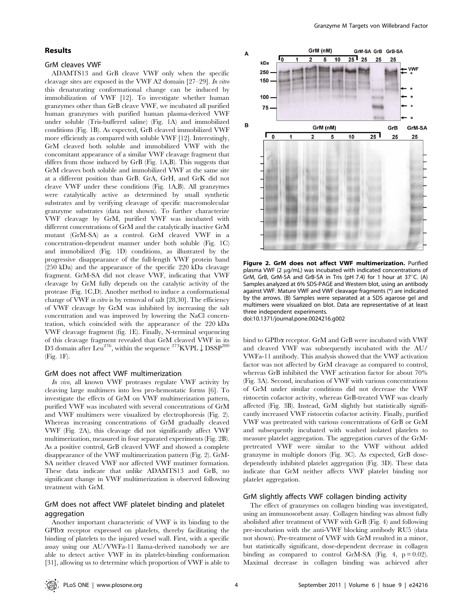## Results

## GrM cleaves VWF

ADAMTS13 and GrB cleave VWF only when the specific cleavage sites are exposed in the VWF A2 domain [27–29]. In vitro this denaturating conformational change can be induced by immobilization of VWF [12]. To investigate whether human granzymes other than GrB cleave VWF, we incubated all purified human granzymes with purified human plasma-derived VWF under soluble (Tris-buffered saline) (Fig. 1A) and immobilized conditions (Fig. 1B). As expected, GrB cleaved immobilized VWF more efficiently as compared with soluble VWF [12]. Interestingly, GrM cleaved both soluble and immobilized VWF with the concomitant appearance of a similar VWF cleavage fragment that differs from those induced by GrB (Fig. 1A,B). This suggests that GrM cleaves both soluble and immobilized VWF at the same site at a different position than GrB. GrA, GrH, and GrK did not cleave VWF under these conditions (Fig. 1A,B). All granzymes were catalytically active as determined by small synthetic substrates and by verifying cleavage of specific macromolecular granzyme substrates (data not shown). To further characterize VWF cleavage by GrM, purified VWF was incubated with different concentrations of GrM and the catalytically inactive GrM mutant (GrM-SA) as a control. GrM cleaved VWF in a concentration-dependent manner under both soluble (Fig. 1C) and immobilized (Fig. 1D) conditions, as illustrated by the progressive disappearance of the full-length VWF protein band (250 kDa) and the appearance of the specific 220 kDa cleavage fragment. GrM-SA did not cleave VWF, indicating that VWF cleavage by GrM fully depends on the catalytic activity of the protease (Fig. 1C,D). Another method to induce a conformational change of VWF in vitro is by removal of salt [28,30]. The efficiency of VWF cleavage by GrM was inhibited by increasing the salt concentration and was improved by lowering the NaCl concentration, which coincided with the appearance of the 220 kDa VWF cleavage fragment (fig. 1E). Finally, N-terminal sequencing of this cleavage fragment revealed that GrM cleaved VWF in its D3 domain after Leu<sup>276</sup>, within the sequence <sup>273</sup>KVPL  $\downarrow$  DSSP<sup>280</sup> (Fig. 1F).

#### GrM does not affect VWF multimerization

In vivo, all known VWF proteases regulate VWF activity by cleaving large multimers into less pro-hemostatic forms [6]. To investigate the effects of GrM on VWF multimerization pattern, purified VWF was incubated with several concentrations of GrM and VWF multimers were visualized by electrophoresis (Fig. 2). Whereas increasing concentrations of GrM gradually cleaved VWF (Fig. 2A), this cleavage did not significantly affect VWF multimerization, measured in four separated experiments (Fig. 2B). As a positive control, GrB cleaved VWF and showed a complete disappearance of the VWF multimerization pattern (Fig. 2). GrM-SA neither cleaved VWF nor affected VWF mutimer formation. These data indicate that unlike ADAMTS13 and GrB, no significant change in VWF multimerization is observed following treatment with GrM.

## GrM does not affect VWF platelet binding and platelet aggregation

Another important characteristic of VWF is its binding to the GPIba receptor expressed on platelets, thereby facilitating the binding of platelets to the injured vessel wall. First, with a specific assay using our AU/VWFa-11 llama-derived nanobody we are able to detect active VWF in its platelet-binding conformation [31], allowing us to determine which proportion of VWF is able to



Figure 2. GrM does not affect VWF multimerization. Purified plasma VWF (2 µg/mL) was incubated with indicated concentrations of GrM, GrB, GrM-SA and GrB-SA in Tris (pH 7.4) for 1 hour at  $37^{\circ}$ C. (A) Samples analyzed at 6% SDS-PAGE and Western blot, using an antibody against VWF. Mature VWF and VWF cleavage fragments (\*) are indicated by the arrows. (B) Samples were separated at a SDS agarose gel and multimers were visualized on blot. Data are representative of at least three independent experiments.

doi:10.1371/journal.pone.0024216.g002

bind to GPIba receptor. GrM and GrB were incubated with VWF and cleaved VWF was subsequently incubated with the AU/ VWFa-11 antibody. This analysis showed that the VWF activation factor was not affected by GrM cleavage as compared to control, whereas GrB inhibited the VWF activation factor for about 70% (Fig. 3A). Second, incubation of VWF with various concentrations of GrM under similar conditions did not decrease the VWF ristocetin cofactor activity, whereas GrB-treated VWF was clearly affected (Fig. 3B). Instead, GrM slightly but statistically significantly increased VWF ristocetin cofactor activity. Finally, purified VWF was pretreated with various concentrations of GrB or GrM and subsequently incubated with washed isolated platelets to measure platelet aggregation. The aggregation curves of the GrMpretreated VWF were similar to the VWF without added granzyme in multiple donors (Fig. 3C). As expected, GrB dosedependently inhibited platelet aggregation (Fig. 3D). These data indicate that GrM neither affects VWF platelet binding nor platelet aggregation.

## GrM slightly affects VWF collagen binding activity

The effect of granzymes on collagen binding was investigated, using an immunosorbent assay. Collagen binding was almost fully abolished after treatment of VWF with GrB (Fig. 4) and following pre-incubation with the anti-VWF blocking antibody RU5 (data not shown). Pre-treatment of VWF with GrM resulted in a minor, but statistically significant, dose-dependent decrease in collagen binding as compared to control GrM-SA (Fig. 4,  $p = 0.02$ ). Maximal decrease in collagen binding was achieved after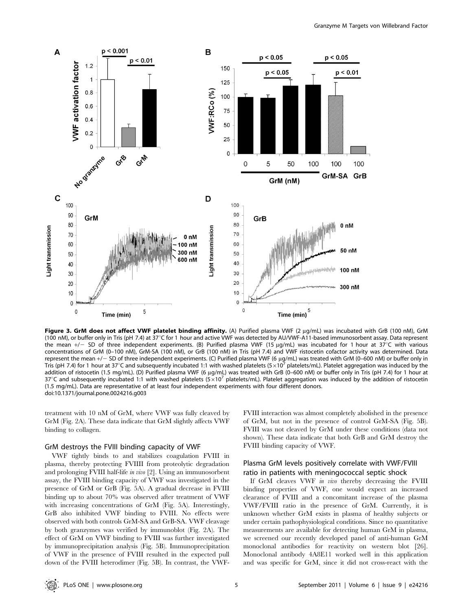

Figure 3. GrM does not affect VWF platelet binding affinity. (A) Purified plasma VWF (2 µg/mL) was incubated with GrB (100 nM), GrM (100 nM), or buffer only in Tris (pH 7.4) at 37°C for 1 hour and active VWF was detected by AU/VWF-A11-based immunosorbent assay. Data represent the mean  $+/-$  SD of three independent experiments. (B) Purified plasma VWF (15  $\mu$ g/mL) was incubated for 1 hour at 37°C with various concentrations of GrM (0–100 nM), GrM-SA (100 nM), or GrB (100 nM) in Tris (pH 7.4) and VWF ristocetin cofactor activity was determined. Data represent the mean  $+/-$  SD of three independent experiments. (C) Purified plasma VWF (6 µg/mL) was treated with GrM (0–600 nM) or buffer only in Tris (pH 7.4) for 1 hour at 37°C and subsequently incubated 1:1 with washed platelets (5×10<sup>7</sup> platelets/mL). Platelet aggregation was induced by the addition of ristocetin (1.5 mg/mL). (D) Purified plasma VWF (6 µg/mL) was treated with GrB (0–600 nM) or buffer only in Tris (pH 7.4) for 1 hour at  $37^{\circ}$ C and subsequently incubated 1:1 with washed platelets (5×10<sup>7</sup> platelets/mL). Platelet aggregation was induced by the addition of ristocetin (1.5 mg/mL). Data are representative of at least four independent experiments with four different donors. doi:10.1371/journal.pone.0024216.g003

treatment with 10 nM of GrM, where VWF was fully cleaved by GrM (Fig. 2A). These data indicate that GrM slightly affects VWF binding to collagen.

## GrM destroys the FVIII binding capacity of VWF

VWF tightly binds to and stabilizes coagulation FVIII in plasma, thereby protecting FVIIII from proteolytic degradation and prolonging FVIII half-life in vivo [2]. Using an immunosorbent assay, the FVIII binding capacity of VWF was investigated in the presence of GrM or GrB (Fig. 5A). A gradual decrease in FVIII binding up to about 70% was observed after treatment of VWF with increasing concentrations of GrM (Fig. 5A). Interestingly, GrB also inhibited VWF binding to FVIII. No effects were observed with both controls GrM-SA and GrB-SA. VWF cleavage by both granzymes was verified by immunoblot (Fig. 2A). The effect of GrM on VWF binding to FVIII was further investigated by immunoprecipitation analysis (Fig. 5B). Immunoprecipitation of VWF in the presence of FVIII resulted in the expected pull down of the FVIII heterodimer (Fig. 5B). In contrast, the VWF-

FVIII interaction was almost completely abolished in the presence of GrM, but not in the presence of control GrM-SA (Fig. 5B). FVIII was not cleaved by GrM under these conditions (data not shown). These data indicate that both GrB and GrM destroy the FVIII binding capacity of VWF.

## Plasma GrM levels positively correlate with VWF/FVIII ratio in patients with meningococcal septic shock

If GrM cleaves VWF in vivo thereby decreasing the FVIII binding properties of VWF, one would expect an increased clearance of FVIII and a concomitant increase of the plasma VWF/FVIII ratio in the presence of GrM. Currently, it is unknown whether GrM exists in plasma of healthy subjects or under certain pathophysiological conditions. Since no quantitative measurements are available for detecting human GrM in plasma, we screened our recently developed panel of anti-human GrM monoclonal antibodies for reactivity on western blot [26]. Monoclonal antibody 4A8E11 worked well in this application and was specific for GrM, since it did not cross-react with the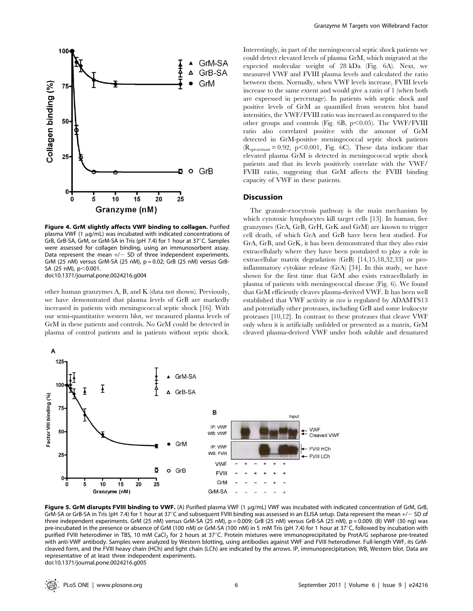

Figure 4. GrM slightly affects VWF binding to collagen. Purified plasma VWF (1  $\mu$ g/mL) was incubated with indicated concentrations of GrB, GrB-SA, GrM, or GrM-SA in Tris (pH 7.4) for 1 hour at  $37^{\circ}$ C. Samples were assessed for collagen binding, using an immunosorbent assay. Data represent the mean  $+/-$  SD of three independent experiments. GrM (25 nM) versus GrM-SA (25 nM), p = 0.02; GrB (25 nM) versus GrB-SA (25 nM),  $p<0.001$ . doi:10.1371/journal.pone.0024216.g004

other human granzymes A, B, and K (data not shown). Previously, we have demonstrated that plasma levels of GrB are markedly increased in patients with meningococcal septic shock [16]. With our semi-quantitative western blot, we measured plasma levels of GrM in these patients and controls. No GrM could be detected in plasma of control patients and in patients without septic shock.

Interestingly, in part of the meningococcal septic shock patients we could detect elevated levels of plasma GrM, which migrated at the expected molecular weight of 28 kDa (Fig. 6A). Next, we measured VWF and FVIII plasma levels and calculated the ratio between them. Normally, when VWF levels increase, FVIII levels increase to the same extent and would give a ratio of 1 (when both are expressed in percentage). In patients with septic shock and positive levels of GrM as quantified from western blot band intensities, the VWF/FVIII ratio was increased as compared to the other groups and controls (Fig. 6B,  $p<0.05$ ). The VWF/FVIII ratio also correlated positive with the amount of GrM detected in GrM-positive meningococcal septic shock patients  $(R_{\text{searman}}= 0.92, \text{ p} < 0.001, \text{ Fig. 6C}).$  These data indicate that elevated plasma GrM is detected in meningococcal septic shock patients and that its levels positively correlate with the VWF/ FVIII ratio, suggesting that GrM affects the FVIII binding capacity of VWF in these patients.

## **Discussion**

The granule-exocytosis pathway is the main mechanism by which cytotoxic lymphocytes kill target cells [13]. In human, five granzymes (GrA, GrB, GrH, GrK and GrM) are known to trigger cell death, of which GrA and GrB have been best studied. For GrA, GrB, and GrK, it has been demonstrated that they also exist extracellularly where they have been postulated to play a role in extracellular matrix degradation (GrB) [14,15,18,32,33] or proinflammatory cytokine release (GrA) [34]. In this study, we have shown for the first time that GrM also exists extracellularly in plasma of patients with meningococcal disease (Fig. 6). We found that GrM efficiently cleaves plasma-derived VWF. It has been well established that VWF activity in vivo is regulated by ADAMTS13 and potentially other proteases, including GrB and some leukocyte proteases [10,12]. In contrast to these proteases that cleave VWF only when it is artificially unfolded or presented as a matrix, GrM cleaved plasma-derived VWF under both soluble and denatured



Figure 5. GrM disrupts FVIII binding to VWF. (A) Purified plasma VWF (1 µg/mL) VWF was incubated with indicated concentration of GrM, GrB, GrM-SA or GrB-SA in Tris (pH 7.4) for 1 hour at 37°C and subsequent FVIII binding was assessed in an ELISA setup. Data represent the mean +/ $-$  SD of three independent experiments. GrM (25 nM) versus GrM-SA (25 nM), p = 0.009; GrB (25 nM) versus GrB-SA (25 nM), p = 0.009. (B) VWF (30 ng) was pre-incubated in the presence or absence of GrM (100 nM) or GrM-SA (100 nM) in 5 mM Tris (pH 7.4) for 1 hour at 37°C, followed by incubation with purified FVIII heterodimer in TBS, 10 mM CaCl<sub>2</sub> for 2 hours at 37°C. Protein mixtures were immunoprecipitated by ProtA/G sepharose pre-treated with anti-VWF antibody. Samples were analyzed by Western blotting, using antibodies against VWF and FVIII heterodimer. Full-length VWF, its GrMcleaved form, and the FVIII heavy chain (HCh) and light chain (LCh) are indicated by the arrows. IP, immunoprecipitation; WB, Western blot. Data are representative of at least three independent experiments. doi:10.1371/journal.pone.0024216.g005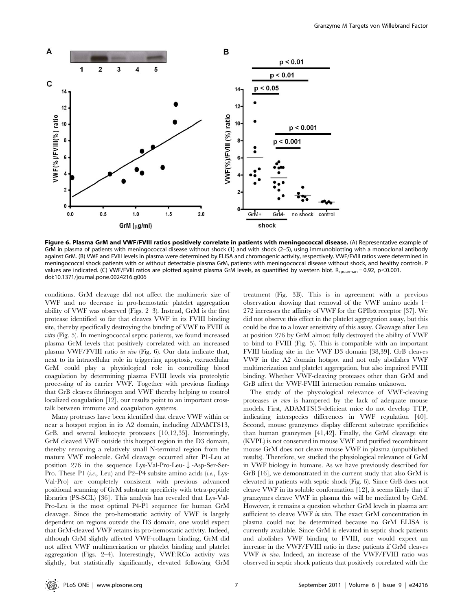

Figure 6. Plasma GrM and VWF/FVIII ratios positively correlate in patients with meningococcal disease. (A) Representative example of GrM in plasma of patients with meningococcal disease without shock (1) and with shock (2–5), using immunoblotting with a monoclonal antibody against GrM. (B) VWF and FVIII levels in plasma were determined by ELISA and chromogenic activity, respectively. VWF/FVIII ratios were determined in meningococcal shock patients with or without detectable plasma GrM, patients with meningococcal disease without shock, and healthy controls. P values are indicated. (C) VWF/FVIII ratios are plotted against plasma GrM levels, as quantified by western blot. R<sub>spearman</sub> = 0.92, p<0.001. doi:10.1371/journal.pone.0024216.g006

conditions. GrM cleavage did not affect the multimeric size of VWF and no decrease in pro-hemostatic platelet aggregation ability of VWF was observed (Figs. 2–3). Instead, GrM is the first protease identified so far that cleaves VWF in its FVIII binding site, thereby specifically destroying the binding of VWF to FVIII  $in$ vitro (Fig. 5). In meningococcal septic patients, we found increased plasma GrM levels that positively correlated with an increased plasma VWF/FVIII ratio in vivo (Fig. 6). Our data indicate that, next to its intracellular role in triggering apoptosis, extracellular GrM could play a physiological role in controlling blood coagulation by determining plasma FVIII levels via proteolytic processing of its carrier VWF. Together with previous findings that GrB cleaves fibrinogen and VWF thereby helping to control localized coagulation [12], our results point to an important crosstalk between immune and coagulation systems.

Many proteases have been identified that cleave VWF within or near a hotspot region in its A2 domain, including ADAMTS13, GrB, and several leukocyte proteases [10,12,35]. Interestingly, GrM cleaved VWF outside this hotspot region in the D3 domain, thereby removing a relatively small N-terminal region from the mature VWF molecule. GrM cleavage occurred after P1-Leu at position 276 in the sequence Lys-Val-Pro-Leu- $\downarrow$ -Asp-Ser-Ser-Pro. These P1 (*i.e.*, Leu) and P2–P4 subsite amino acids (*i.e.*, Lys-Val-Pro) are completely consistent with previous advanced positional scanning of GrM substrate specificity with tetra-peptide libraries (PS-SCL) [36]. This analysis has revealed that Lys-Val-Pro-Leu is the most optimal P4-P1 sequence for human GrM cleavage. Since the pro-hemostatic activity of VWF is largely dependent on regions outside the D3 domain, one would expect that GrM-cleaved VWF retains its pro-hemostatic activity. Indeed, although GrM slightly affected VWF-collagen binding, GrM did not affect VWF multimerization or platelet binding and platelet aggregation (Figs. 2–4). Interestingly, VWF:RCo activity was slightly, but statistically significantly, elevated following GrM

treatment (Fig. 3B). This is in agreement with a previous observation showing that removal of the VWF amino acids 1– 272 increases the affinity of VWF for the GPIba receptor [37]. We did not observe this effect in the platelet aggregation assay, but this could be due to a lower sensitivity of this assay. Cleavage after Leu at position 276 by GrM almost fully destroyed the ability of VWF to bind to FVIII (Fig. 5). This is compatible with an important FVIII binding site in the VWF D3 domain [38,39]. GrB cleaves VWF in the A2 domain hotspot and not only abolishes VWF multimerization and platelet aggregation, but also impaired FVIII binding. Whether VWF-cleaving proteases other than GrM and GrB affect the VWF-FVIII interaction remains unknown.

The study of the physiological relevance of VWF-cleaving proteases in vivo is hampered by the lack of adequate mouse models. First, ADAMTS13-deficient mice do not develop TTP, indicating interspecies differences in VWF regulation [40]. Second, mouse granzymes display different substrate specificities than human granzymes [41,42]. Finally, the GrM cleavage site (KVPL) is not conserved in mouse VWF and purified recombinant mouse GrM does not cleave mouse VWF in plasma (unpublished results). Therefore, we studied the physiological relevance of GrM in VWF biology in humans. As we have previously described for GrB [16], we demonstrated in the current study that also GrM is elevated in patients with septic shock (Fig. 6). Since GrB does not cleave VWF in its soluble conformation [12], it seems likely that if granzymes cleave VWF in plasma this will be mediated by GrM. However, it remains a question whether GrM levels in plasma are sufficient to cleave VWF in vivo. The exact GrM concentration in plasma could not be determined because no GrM ELISA is currently available. Since GrM is elevated in septic shock patients and abolishes VWF binding to FVIII, one would expect an increase in the VWF/FVIII ratio in these patients if GrM cleaves VWF in vivo. Indeed, an increase of the VWF/FVIII ratio was observed in septic shock patients that positively correlated with the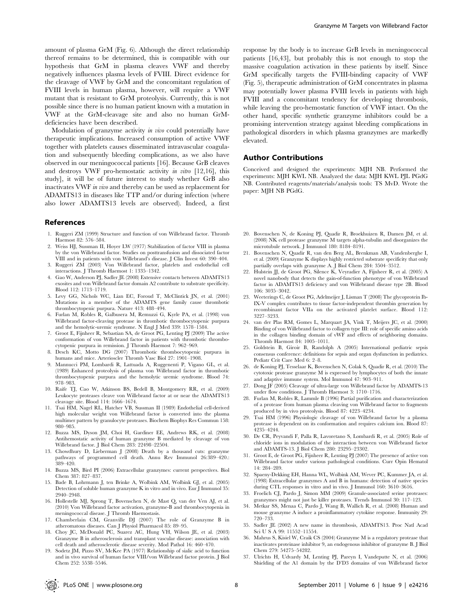amount of plasma GrM (Fig. 6). Although the direct relationship thereof remains to be determined, this is compatible with our hypothesis that GrM in plasma cleaves VWF and thereby negatively influences plasma levels of FVIII. Direct evidence for the cleavage of VWF by GrM and the concomitant regulation of FVIII levels in human plasma, however, will require a VWF mutant that is resistant to GrM proteolysis. Currently, this is not possible since there is no human patient known with a mutation in VWF at the GrM-cleavage site and also no human GrMdeficiencies have been described.

Modulation of granzyme activity in vivo could potentially have therapeutic implications. Increased consumption of active VWF together with platelets causes disseminated intravascular coagulation and subsequently bleeding complications, as we also have observed in our meningococcal patients [16]. Because GrB cleaves and destroys VWF pro-hemostatic activity in vitro [12,16], this study], it will be of future interest to study whether GrB also inactivates VWF in vivo and thereby can be used as replacement for ADAMTS13 in diseases like TTP and/or during infection (where also lower ADAMTS13 levels are observed). Indeed, a first

## References

- 1. Ruggeri ZM (1999) Structure and function of von Willebrand factor. Thromb Haemost 82: 576–584.
- 2. Weiss HJ, Sussman II, Hoyer LW (1977) Stabilization of factor VIII in plasma by the von Willebrand factor. Studies on posttransfusion and dissociated factor VIII and in patients with von Willebrand's disease. J Clin Invest 60: 390–404.
- 3. Ruggeri ZM (2003) Von Willebrand factor, platelets and endothelial cell interactions. J Thromb Haemost 1: 1335–1342.
- 4. Gao W, Anderson PJ, Sadler JE (2008) Extensive contacts between ADAMTS13 exosites and von Willebrand factor domain A2 contribute to substrate specificity. Blood 112: 1713–1719.
- 5. Levy GG, Nichols WC, Lian EC, Foroud T, McClintick JN, et al. (2001) Mutations in a member of the ADAMTS gene family cause thrombotic thrombocytopenic purpura. Nature 413: 488–494.
- 6. Furlan M, Robles R, Galbusera M, Remuzzi G, Kyrle PA, et al. (1998) von Willebrand factor-cleaving protease in thrombotic thrombocytopenic purpura and the hemolytic-uremic syndrome. N Engl J Med 339: 1578–1584.
- 7. Groot E, Fijnheer R, Sebastian SA, de Groot PG, Lenting PJ (2009) The active conformation of von Willebrand factor in patients with thrombotic thrombocytopenic purpura in remission. J Thromb Haemost 7: 962–969.
- 8. Desch KC, Motto DG (2007) Thrombotic thrombocytopenic purpura in humans and mice. Arterioscler Thromb Vasc Biol 27: 1901–1908.
- 9. Mannucci PM, Lombardi R, Lattuada A, Ruggenenti P, Vigano GL, et al. (1989) Enhanced proteolysis of plasma von Willebrand factor in thrombotic thrombocytopenic purpura and the hemolytic uremic syndrome. Blood 74: 978–983.
- 10. Raife TJ, Cao W, Atkinson BS, Bedell B, Montgomery RR, et al. (2009) Leukocyte proteases cleave von Willebrand factor at or near the ADAMTS13 cleavage site. Blood 114: 1666–1674.
- 11. Tsai HM, Nagel RL, Hatcher VB, Sussman II (1989) Endothelial cell-derived high molecular weight von Willebrand factor is converted into the plasma multimer pattern by granulocyte proteases. Biochem Biophys Res Commun 158: 980–985.
- 12. Buzza MS, Dyson JM, Choi H, Gardiner EE, Andrews RK, et al. (2008) Antihemostatic activity of human granzyme B mediated by cleavage of von Willebrand factor. J Biol Chem 283: 22498–22504.
- 13. Chowdhury D, Lieberman J (2008) Death by a thousand cuts: granzyme pathways of programmed cell death. Annu Rev Immunol 26:389–420.: 389–420.
- 14. Buzza MS, Bird PI (2006) Extracellular granzymes: current perspectives. Biol Chem 387: 827-837
- 15. Bade B, Lohrmann J, ten Brinke A, Wolbink AM, Wolbink GJ, et al. (2005) Detection of soluble human granzyme K in vitro and in vivo. Eur J Immunol 35: 2940–2948.
- 16. Hollestelle MJ, Sprong T, Bovenschen N, de Mast Q, van der Ven AJ, et al. (2010) Von Willebrand factor activation, granzyme-B and thrombocytopenia in meningococcal disease. J Thromb Haemostasis.
- 17. Chamberlain CM, Granville DJ (2007) The role of Granzyme B in atheromatous diseases. Can J Physiol Pharmacol 85: 89–95.
- 18. Choy JC, McDonald PC, Suarez AC, Hung VH, Wilson JE, et al. (2003) Granzyme B in atherosclerosis and transplant vascular disease: association with cell death and atherosclerotic disease severity. Mod Pathol 16: 460–470.
- 19. Sodetz JM, Pizzo SV, McKee PA (1977) Relationship of sialic acid to function and in vivo survival of human factor VIII/von Willebrand factor protein. J Biol Chem 252: 5538–5546.

response by the body is to increase GrB levels in meningococcal patients [16,43], but probably this is not enough to stop the massive coagulation activation in these patients by itself. Since GrM specifically targets the FVIII-binding capacity of VWF (Fig. 5), therapeutic administration of GrM concentrates in plasma may potentially lower plasma FVIII levels in patients with high FVIII and a concomitant tendency for developing thrombosis, while leaving the pro-hemostatic function of VWF intact. On the other hand, specific synthetic granzyme inhibitors could be a promising intervention strategy against bleeding complications in pathological disorders in which plasma granzymes are markedly elevated.

## Author Contributions

Conceived and designed the experiments: MJH NB. Performed the experiments: MJH KWL NB. Analyzed the data: MJH KWL PJL PGdG NB. Contributed reagents/materials/analysis tools: TS MvD. Wrote the paper: MJH NB PGdG.

- 20. Bovenschen N, de Koning PJ, Quadir R, Broekhuizen R, Damen JM, et al. (2008) NK cell protease granzyme M targets alpha-tubulin and disorganizes the microtubule network. J Immunol 180: 8184–8191.
- 21. Bovenschen N, Quadir R, van den Berg AL, Brenkman AB, Vandenberghe I, et al. (2009) Granzyme K displays highly restricted substrate specificity that only partially overlaps with granzyme A. J Biol Chem 284: 3504–3512.
- 22. Hulstein JJ, de Groot PG, Silence K, Veyradier A, Fijnheer R, et al. (2005) A novel nanobody that detects the gain-of-function phenotype of von Willebrand factor in ADAMTS13 deficiency and von Willebrand disease type 2B. Blood 106: 3035–3042.
- 23. Weeterings C, de Groot PG, Adelmeijer J, Lisman T (2008) The glycoprotein Ib-IX-V complex contributes to tissue factor-independent thrombin generation by recombinant factor VIIa on the activated platelet surface. Blood 112: 3227–3233.
- 24. van der Plas RM, Gomes L, Marquart JA, Vink T, Meijers JC, et al. (2000) Binding of von Willebrand factor to collagen type III: role of specific amino acids in the collagen binding domain of vWF and effects of neighboring domains. Thromb Haemost 84: 1005–1011.
- 25. Goldstein B, Giroir B, Randolph A (2005) International pediatric sepsis consensus conference: definitions for sepsis and organ dysfunction in pediatrics. Pediatr Crit Care Med 6: 2–8.
- 26. de Koning PJ, Tesselaar K, Bovenschen N, Colak S, Quadir R, et al. (2010) The cytotoxic protease granzyme M is expressed by lymphocytes of both the innate and adaptive immune system. Mol Immunol 47: 903–911.
- 27. Dong JF (2005) Cleavage of ultra-large von Willebrand factor by ADAMTS-13 under flow conditions. J Thromb Haemost 3: 1710–1716.
- 28. Furlan M, Robles R, Lammle B (1996) Partial purification and characterization of a protease from human plasma cleaving von Willebrand factor to fragments produced by in vivo proteolysis. Blood 87: 4223–4234.
- 29. Tsai HM (1996) Physiologic cleavage of von Willebrand factor by a plasma protease is dependent on its conformation and requires calcium ion. Blood 87: 4235–4244.
- 30. De CR, Peyvandi F, Palla R, Lavoretano S, Lombardi R, et al. (2005) Role of chloride ions in modulation of the interaction between von Willebrand factor and ADAMTS-13. J Biol Chem 280: 23295–23302.
- 31. Groot E, de Groot PG, Fijnheer R, Lenting PJ (2007) The presence of active von Willebrand factor under various pathological conditions. Curr Opin Hematol 14: 284–289.
- 32. Spaeny-Dekking EH, Hanna WL, Wolbink AM, Wever PC, Kummer JA, et al. (1998) Extracellular granzymes A and B in humans: detection of native species during CTL responses in vitro and in vivo. I Immunol 160: 3610-3616.
- 33. Froelich CJ, Pardo J, Simon MM (2009) Granule-associated serine proteases: granzymes might not just be killer proteases. Trends Immunol 30: 117–123.
- 34. Metkar SS, Menaa C, Pardo J, Wang B, Wallich R, et al. (2008) Human and mouse granzyme A induce a proinflammatory cytokine response. Immunity 29: 720–733.
- 35. Sadler JE (2002) A new name in thrombosis, ADAMTS13. Proc Natl Acad Sci U S A 99: 11552–11554.
- 36. Mahrus S, Kisiel W, Craik CS (2004) Granzyme M is a regulatory protease that inactivates proteinase inhibitor 9, an endogenous inhibitor of granzyme B. J Biol Chem 279: 54275–54282.
- 37. Ulrichts H, Udvardy M, Lenting PJ, Pareyn I, Vandeputte N, et al. (2006) Shielding of the A1 domain by the D'D3 domains of von Willebrand factor